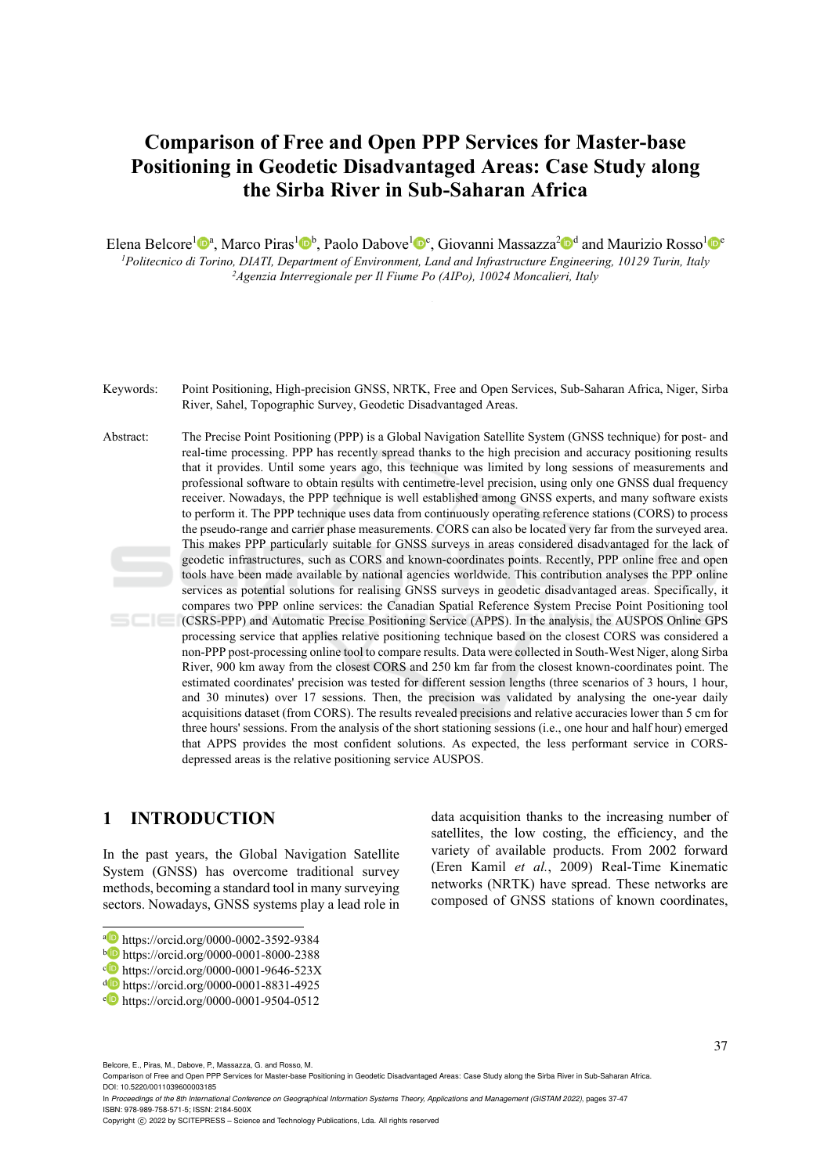# **Comparison of Free and Open PPP Services for Master-base Positioning in Geodetic Disadvantaged Areas: Case Study along the Sirba River in Sub-Saharan Africa**

Elena Belcore<sup>1</sup><sup>0</sup><sup>a</sup>, Marco Piras<sup>1</sup><sup>0</sup><sup>b</sup>, Paolo Dabove<sup>1</sup><sup>0</sup><sup>c</sup>, Giovanni Massazza<sup>2</sup><sup>0</sup><sup>d</sup> and Maurizio Rosso<sup>1</sup><sup>0</sup><sup>e</sup> *1Politecnico di Torino, DIATI, Department of Environment, Land and Infrastructure Engineering, 10129 Turin, Italy 2Agenzia Interregionale per Il Fiume Po (AIPo), 10024 Moncalieri, Italy* 

Keywords: Point Positioning, High-precision GNSS, NRTK, Free and Open Services, Sub-Saharan Africa, Niger, Sirba River, Sahel, Topographic Survey, Geodetic Disadvantaged Areas.

Abstract: The Precise Point Positioning (PPP) is a Global Navigation Satellite System (GNSS technique) for post- and real-time processing. PPP has recently spread thanks to the high precision and accuracy positioning results that it provides. Until some years ago, this technique was limited by long sessions of measurements and professional software to obtain results with centimetre-level precision, using only one GNSS dual frequency receiver. Nowadays, the PPP technique is well established among GNSS experts, and many software exists to perform it. The PPP technique uses data from continuously operating reference stations (CORS) to process the pseudo-range and carrier phase measurements. CORS can also be located very far from the surveyed area. This makes PPP particularly suitable for GNSS surveys in areas considered disadvantaged for the lack of geodetic infrastructures, such as CORS and known-coordinates points. Recently, PPP online free and open tools have been made available by national agencies worldwide. This contribution analyses the PPP online services as potential solutions for realising GNSS surveys in geodetic disadvantaged areas. Specifically, it compares two PPP online services: the Canadian Spatial Reference System Precise Point Positioning tool (CSRS-PPP) and Automatic Precise Positioning Service (APPS). In the analysis, the AUSPOS Online GPS processing service that applies relative positioning technique based on the closest CORS was considered a non-PPP post-processing online tool to compare results. Data were collected in South-West Niger, along Sirba River, 900 km away from the closest CORS and 250 km far from the closest known-coordinates point. The estimated coordinates' precision was tested for different session lengths (three scenarios of 3 hours, 1 hour, and 30 minutes) over 17 sessions. Then, the precision was validated by analysing the one-year daily acquisitions dataset (from CORS). The results revealed precisions and relative accuracies lower than 5 cm for three hours' sessions. From the analysis of the short stationing sessions (i.e., one hour and half hour) emerged that APPS provides the most confident solutions. As expected, the less performant service in CORSdepressed areas is the relative positioning service AUSPOS.

#### **1 INTRODUCTION**

In the past years, the Global Navigation Satellite System (GNSS) has overcome traditional survey methods, becoming a standard tool in many surveying sectors. Nowadays, GNSS systems play a lead role in

Belcore, E., Piras, M., Dabove, P., Massazza, G. and Rosso, M.

In *Proceedings of the 8th International Conference on Geographical Information Systems Theory, Applications and Management (GISTAM 2022)*, pages 37-47 ISBN: 978-989-758-571-5; ISSN: 2184-500X

data acquisition thanks to the increasing number of satellites, the low costing, the efficiency, and the variety of available products. From 2002 forward (Eren Kamil *et al.*, 2009) Real-Time Kinematic networks (NRTK) have spread. These networks are composed of GNSS stations of known coordinates,

a https://orcid.org/0000-0001-8000-2388<br>
b https://orcid.org/0000-0001-8000-2388<br>
c https://orcid.org/0000-0001-9646-523X<br>
d https://orcid.org/0000-0001-8831-4925<br>
c https://orcid.org/0000-0001-9504-0512

Comparison of Free and Open PPP Services for Master-base Positioning in Geodetic Disadvantaged Areas: Case Study along the Sirba River in Sub-Saharan Africa. DOI: 10.5220/0011039600003185

Copyright © 2022 by SCITEPRESS - Science and Technology Publications, Lda. All rights reserved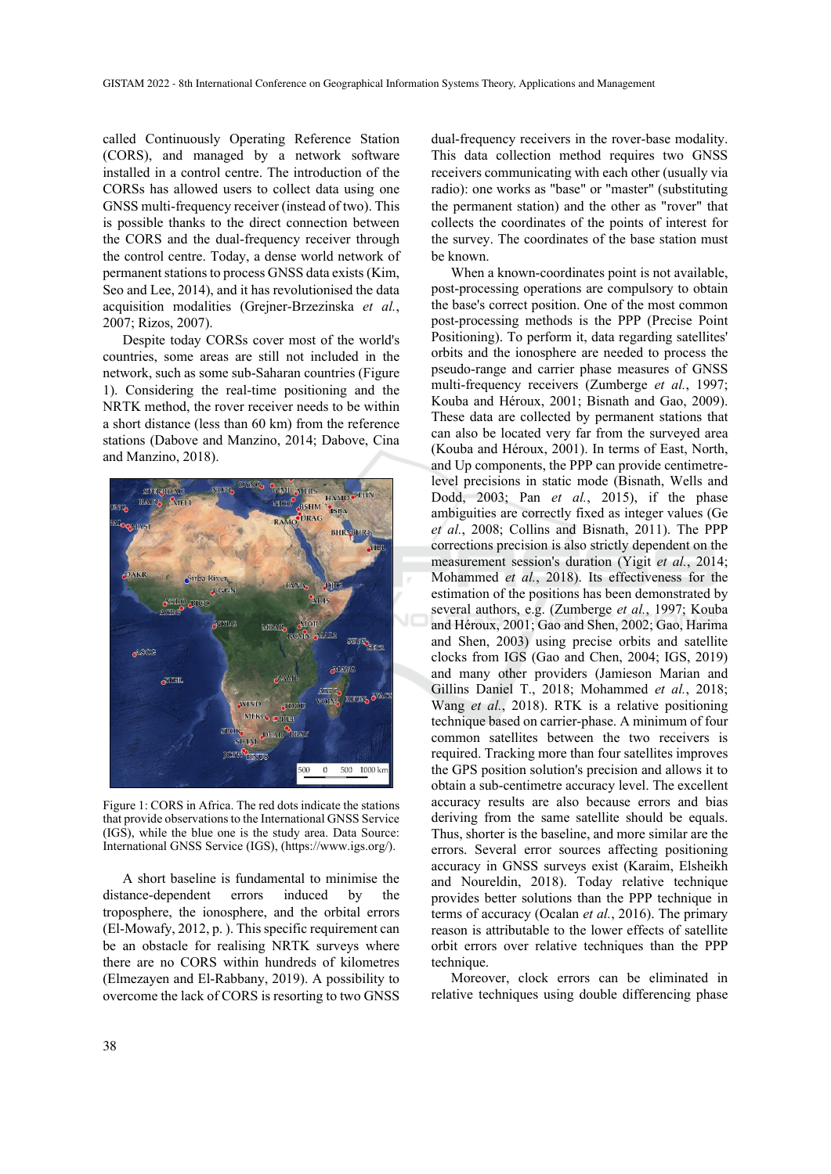called Continuously Operating Reference Station (CORS), and managed by a network software installed in a control centre. The introduction of the CORSs has allowed users to collect data using one GNSS multi-frequency receiver (instead of two). This is possible thanks to the direct connection between the CORS and the dual-frequency receiver through the control centre. Today, a dense world network of permanent stations to process GNSS data exists (Kim, Seo and Lee, 2014), and it has revolutionised the data acquisition modalities (Grejner-Brzezinska *et al.*, 2007; Rizos, 2007).

Despite today CORSs cover most of the world's countries, some areas are still not included in the network, such as some sub-Saharan countries (Figure 1). Considering the real-time positioning and the NRTK method, the rover receiver needs to be within a short distance (less than 60 km) from the reference stations (Dabove and Manzino, 2014; Dabove, Cina and Manzino, 2018).



Figure 1: CORS in Africa. The red dots indicate the stations that provide observations to the International GNSS Service (IGS), while the blue one is the study area. Data Source: International GNSS Service (IGS), (https://www.igs.org/).

A short baseline is fundamental to minimise the distance-dependent errors induced by the troposphere, the ionosphere, and the orbital errors (El-Mowafy, 2012, p. ). This specific requirement can be an obstacle for realising NRTK surveys where there are no CORS within hundreds of kilometres (Elmezayen and El-Rabbany, 2019). A possibility to overcome the lack of CORS is resorting to two GNSS

dual-frequency receivers in the rover-base modality. This data collection method requires two GNSS receivers communicating with each other (usually via radio): one works as "base" or "master" (substituting the permanent station) and the other as "rover" that collects the coordinates of the points of interest for the survey. The coordinates of the base station must be known.

When a known-coordinates point is not available, post-processing operations are compulsory to obtain the base's correct position. One of the most common post-processing methods is the PPP (Precise Point Positioning). To perform it, data regarding satellites' orbits and the ionosphere are needed to process the pseudo-range and carrier phase measures of GNSS multi-frequency receivers (Zumberge *et al.*, 1997; Kouba and Héroux, 2001; Bisnath and Gao, 2009). These data are collected by permanent stations that can also be located very far from the surveyed area (Kouba and Héroux, 2001). In terms of East, North, and Up components, the PPP can provide centimetrelevel precisions in static mode (Bisnath, Wells and Dodd, 2003; Pan *et al.*, 2015), if the phase ambiguities are correctly fixed as integer values (Ge *et al.*, 2008; Collins and Bisnath, 2011). The PPP corrections precision is also strictly dependent on the measurement session's duration (Yigit *et al.*, 2014; Mohammed *et al.*, 2018). Its effectiveness for the estimation of the positions has been demonstrated by several authors, e.g. (Zumberge *et al.*, 1997; Kouba and Héroux, 2001; Gao and Shen, 2002; Gao, Harima and Shen, 2003) using precise orbits and satellite clocks from IGS (Gao and Chen, 2004; IGS, 2019) and many other providers (Jamieson Marian and Gillins Daniel T., 2018; Mohammed *et al.*, 2018; Wang *et al.*, 2018). RTK is a relative positioning technique based on carrier-phase. A minimum of four common satellites between the two receivers is required. Tracking more than four satellites improves the GPS position solution's precision and allows it to obtain a sub-centimetre accuracy level. The excellent accuracy results are also because errors and bias deriving from the same satellite should be equals. Thus, shorter is the baseline, and more similar are the errors. Several error sources affecting positioning accuracy in GNSS surveys exist (Karaim, Elsheikh and Noureldin, 2018). Today relative technique provides better solutions than the PPP technique in terms of accuracy (Ocalan *et al.*, 2016). The primary reason is attributable to the lower effects of satellite orbit errors over relative techniques than the PPP technique.

Moreover, clock errors can be eliminated in relative techniques using double differencing phase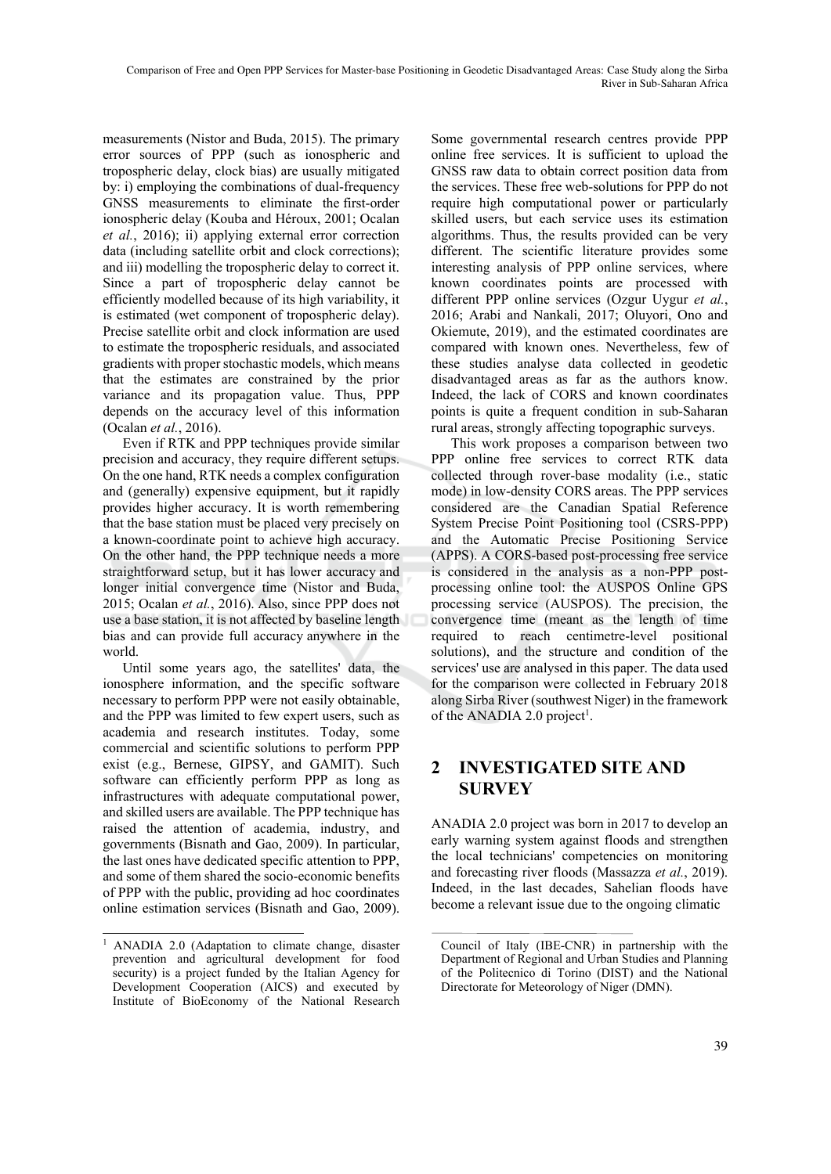measurements (Nistor and Buda, 2015). The primary error sources of PPP (such as ionospheric and tropospheric delay, clock bias) are usually mitigated by: i) employing the combinations of dual-frequency GNSS measurements to eliminate the first-order ionospheric delay (Kouba and Héroux, 2001; Ocalan *et al.*, 2016); ii) applying external error correction data (including satellite orbit and clock corrections); and iii) modelling the tropospheric delay to correct it. Since a part of tropospheric delay cannot be efficiently modelled because of its high variability, it is estimated (wet component of tropospheric delay). Precise satellite orbit and clock information are used to estimate the tropospheric residuals, and associated gradients with proper stochastic models, which means that the estimates are constrained by the prior variance and its propagation value. Thus, PPP depends on the accuracy level of this information (Ocalan *et al.*, 2016).

Even if RTK and PPP techniques provide similar precision and accuracy, they require different setups. On the one hand, RTK needs a complex configuration and (generally) expensive equipment, but it rapidly provides higher accuracy. It is worth remembering that the base station must be placed very precisely on a known-coordinate point to achieve high accuracy. On the other hand, the PPP technique needs a more straightforward setup, but it has lower accuracy and longer initial convergence time (Nistor and Buda, 2015; Ocalan *et al.*, 2016). Also, since PPP does not use a base station, it is not affected by baseline length bias and can provide full accuracy anywhere in the world.

Until some years ago, the satellites' data, the ionosphere information, and the specific software necessary to perform PPP were not easily obtainable, and the PPP was limited to few expert users, such as academia and research institutes. Today, some commercial and scientific solutions to perform PPP exist (e.g., Bernese, GIPSY, and GAMIT). Such software can efficiently perform PPP as long as infrastructures with adequate computational power, and skilled users are available. The PPP technique has raised the attention of academia, industry, and governments (Bisnath and Gao, 2009). In particular, the last ones have dedicated specific attention to PPP, and some of them shared the socio-economic benefits of PPP with the public, providing ad hoc coordinates online estimation services (Bisnath and Gao, 2009).

Some governmental research centres provide PPP online free services. It is sufficient to upload the GNSS raw data to obtain correct position data from the services. These free web-solutions for PPP do not require high computational power or particularly skilled users, but each service uses its estimation algorithms. Thus, the results provided can be very different. The scientific literature provides some interesting analysis of PPP online services, where known coordinates points are processed with different PPP online services (Ozgur Uygur *et al.*, 2016; Arabi and Nankali, 2017; Oluyori, Ono and Okiemute, 2019), and the estimated coordinates are compared with known ones. Nevertheless, few of these studies analyse data collected in geodetic disadvantaged areas as far as the authors know. Indeed, the lack of CORS and known coordinates points is quite a frequent condition in sub-Saharan rural areas, strongly affecting topographic surveys.

This work proposes a comparison between two PPP online free services to correct RTK data collected through rover-base modality (i.e., static mode) in low-density CORS areas. The PPP services considered are the Canadian Spatial Reference System Precise Point Positioning tool (CSRS-PPP) and the Automatic Precise Positioning Service (APPS). A CORS-based post-processing free service is considered in the analysis as a non-PPP postprocessing online tool: the AUSPOS Online GPS processing service (AUSPOS). The precision, the convergence time (meant as the length of time required to reach centimetre-level positional solutions), and the structure and condition of the services' use are analysed in this paper. The data used for the comparison were collected in February 2018 along Sirba River (southwest Niger) in the framework of the ANADIA 2.0 project<sup>1</sup>.

## **2 INVESTIGATED SITE AND SURVEY**

ANADIA 2.0 project was born in 2017 to develop an early warning system against floods and strengthen the local technicians' competencies on monitoring and forecasting river floods (Massazza *et al.*, 2019). Indeed, in the last decades, Sahelian floods have become a relevant issue due to the ongoing climatic

<sup>&</sup>lt;sup>1</sup> ANADIA 2.0 (Adaptation to climate change, disaster prevention and agricultural development for food security) is a project funded by the Italian Agency for Development Cooperation (AICS) and executed by Institute of BioEconomy of the National Research

Council of Italy (IBE-CNR) in partnership with the Department of Regional and Urban Studies and Planning of the Politecnico di Torino (DIST) and the National Directorate for Meteorology of Niger (DMN).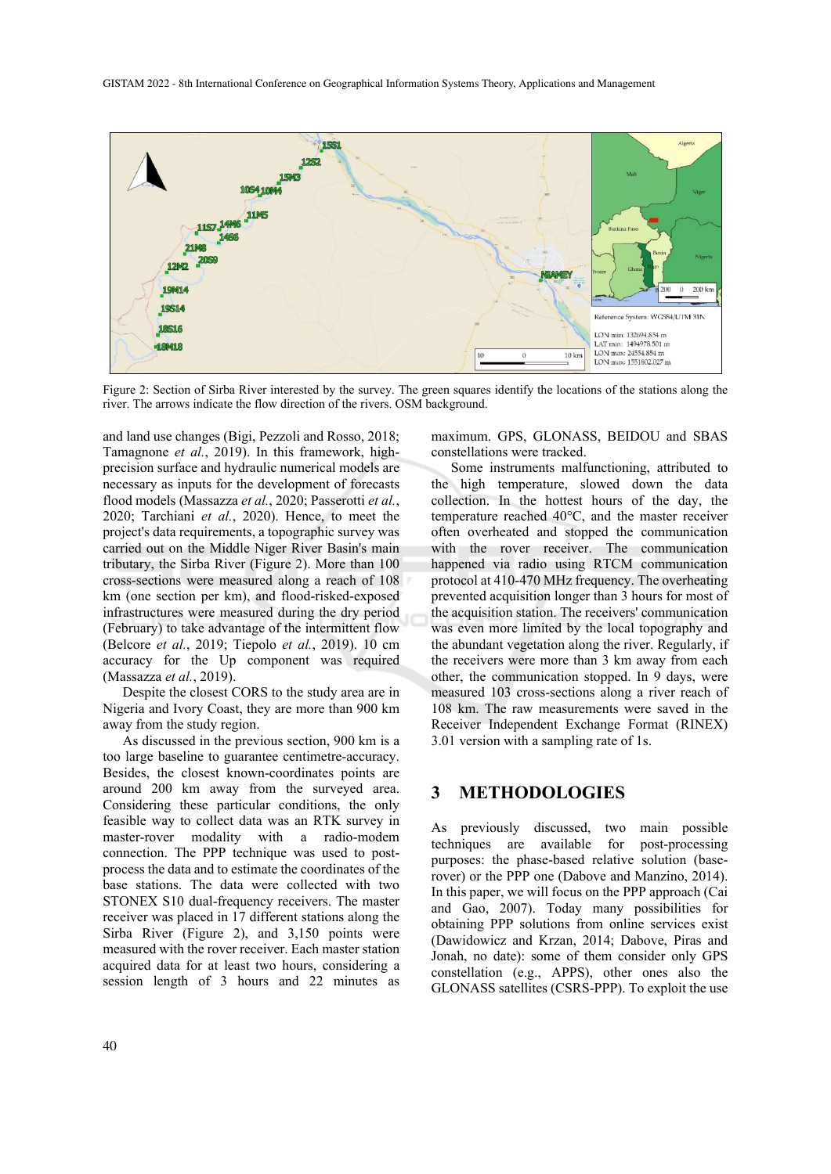

Figure 2: Section of Sirba River interested by the survey. The green squares identify the locations of the stations along the river. The arrows indicate the flow direction of the rivers. OSM background.

and land use changes (Bigi, Pezzoli and Rosso, 2018; Tamagnone *et al.*, 2019). In this framework, highprecision surface and hydraulic numerical models are necessary as inputs for the development of forecasts flood models (Massazza *et al.*, 2020; Passerotti *et al.*, 2020; Tarchiani *et al.*, 2020). Hence, to meet the project's data requirements, a topographic survey was carried out on the Middle Niger River Basin's main tributary, the Sirba River (Figure 2). More than 100 cross-sections were measured along a reach of 108 km (one section per km), and flood-risked-exposed infrastructures were measured during the dry period (February) to take advantage of the intermittent flow (Belcore *et al.*, 2019; Tiepolo *et al.*, 2019). 10 cm accuracy for the Up component was required (Massazza *et al.*, 2019).

Despite the closest CORS to the study area are in Nigeria and Ivory Coast, they are more than 900 km away from the study region.

As discussed in the previous section, 900 km is a too large baseline to guarantee centimetre-accuracy. Besides, the closest known-coordinates points are around 200 km away from the surveyed area. Considering these particular conditions, the only feasible way to collect data was an RTK survey in master-rover modality with a radio-modem connection. The PPP technique was used to postprocess the data and to estimate the coordinates of the base stations. The data were collected with two STONEX S10 dual-frequency receivers. The master receiver was placed in 17 different stations along the Sirba River (Figure 2), and 3,150 points were measured with the rover receiver. Each master station acquired data for at least two hours, considering a session length of 3 hours and 22 minutes as

maximum. GPS, GLONASS, BEIDOU and SBAS constellations were tracked.

Some instruments malfunctioning, attributed to the high temperature, slowed down the data collection. In the hottest hours of the day, the temperature reached 40°C, and the master receiver often overheated and stopped the communication with the rover receiver. The communication happened via radio using RTCM communication protocol at 410-470 MHz frequency. The overheating prevented acquisition longer than 3 hours for most of the acquisition station. The receivers' communication was even more limited by the local topography and the abundant vegetation along the river. Regularly, if the receivers were more than 3 km away from each other, the communication stopped. In 9 days, were measured 103 cross-sections along a river reach of 108 km. The raw measurements were saved in the Receiver Independent Exchange Format (RINEX) 3.01 version with a sampling rate of 1s.

#### **3 METHODOLOGIES**

As previously discussed, two main possible techniques are available for post-processing purposes: the phase-based relative solution (baserover) or the PPP one (Dabove and Manzino, 2014). In this paper, we will focus on the PPP approach (Cai and Gao, 2007). Today many possibilities for obtaining PPP solutions from online services exist (Dawidowicz and Krzan, 2014; Dabove, Piras and Jonah, no date): some of them consider only GPS constellation (e.g., APPS), other ones also the GLONASS satellites (CSRS-PPP). To exploit the use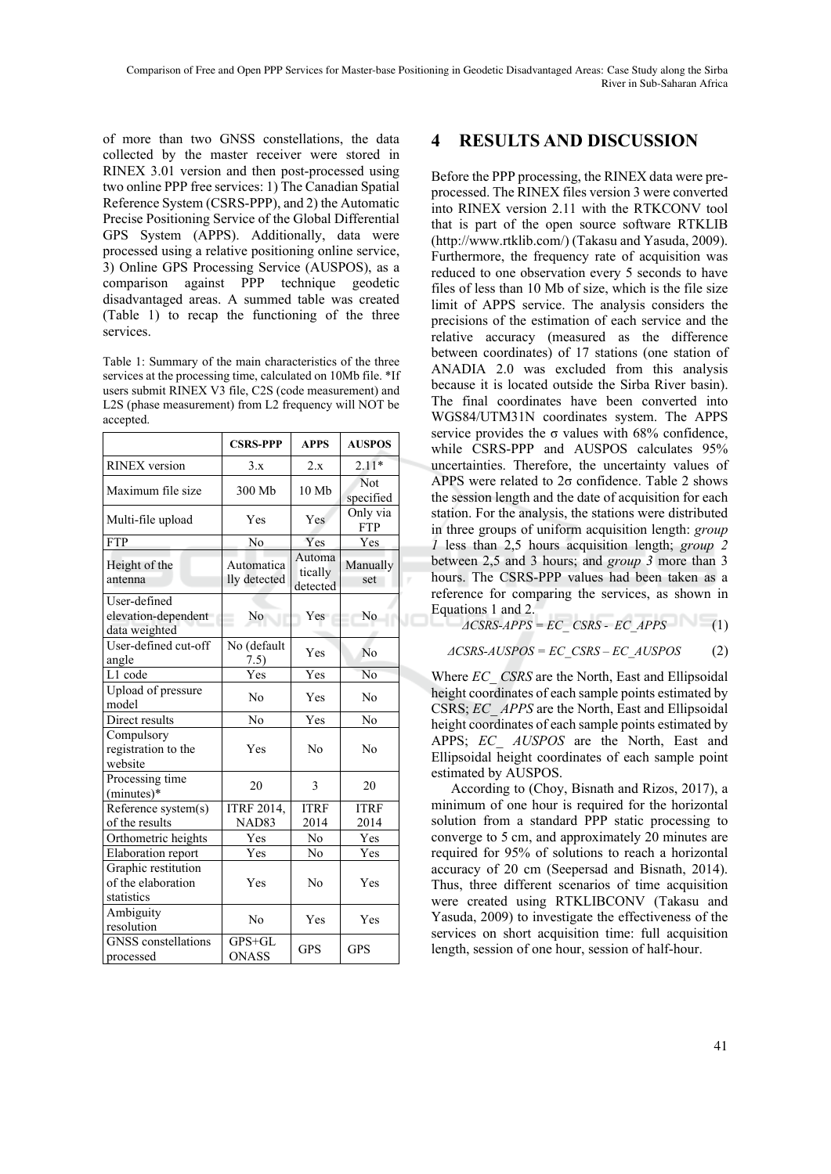of more than two GNSS constellations, the data collected by the master receiver were stored in RINEX 3.01 version and then post-processed using two online PPP free services: 1) The Canadian Spatial Reference System (CSRS-PPP), and 2) the Automatic Precise Positioning Service of the Global Differential GPS System (APPS). Additionally, data were processed using a relative positioning online service, 3) Online GPS Processing Service (AUSPOS), as a comparison against PPP technique geodetic disadvantaged areas. A summed table was created (Table 1) to recap the functioning of the three services.

Table 1: Summary of the main characteristics of the three services at the processing time, calculated on 10Mb file. \*If users submit RINEX V3 file, C2S (code measurement) and L2S (phase measurement) from L2 frequency will NOT be accepted.

|                                                         | <b>CSRS-PPP</b>            | <b>APPS</b>                   | <b>AUSPOS</b>           |
|---------------------------------------------------------|----------------------------|-------------------------------|-------------------------|
| <b>RINEX</b> version                                    | 3.x                        | 2.x                           | $2.11*$                 |
| Maximum file size                                       | 300 Mb                     | 10 Mb                         | <b>Not</b><br>specified |
| Multi-file upload                                       | Yes                        | <b>Yes</b>                    | Only via<br><b>FTP</b>  |
| <b>FTP</b>                                              | No                         | Yes                           | Yes                     |
| Height of the<br>antenna                                | Automatica<br>lly detected | Automa<br>tically<br>detected | Manually<br>set         |
| User-defined<br>elevation-dependent<br>data weighted    | No                         | Yes                           | No.                     |
| User-defined cut-off<br>angle                           | No (default<br>7.5)        | Yes                           | No                      |
| L1 code                                                 | Yes                        | Yes                           | N <sub>0</sub>          |
| Upload of pressure<br>model                             | No                         | Yes                           | No                      |
| Direct results                                          | No                         | Yes                           | No                      |
| Compulsory<br>registration to the<br>website            | Yes                        | No                            | N <sub>0</sub>          |
| Processing time<br>(minutes)*                           | 20                         | 3                             | 20                      |
| Reference system(s)                                     | <b>ITRF 2014,</b>          | <b>ITRF</b>                   | <b>ITRF</b>             |
| of the results                                          | <b>NAD83</b>               | 2014                          | 2014                    |
| Orthometric heights                                     | Yes                        | No                            | Yes                     |
| Elaboration report                                      | Yes                        | No                            | Yes                     |
| Graphic restitution<br>of the elaboration<br>statistics | Yes                        | No                            | Yes                     |
| Ambiguity<br>resolution                                 | No                         | Yes                           | Yes                     |
| <b>GNSS</b> constellations<br>processed                 | $GPS + GL$<br><b>ONASS</b> | <b>GPS</b>                    | <b>GPS</b>              |

## **4 RESULTS AND DISCUSSION**

Before the PPP processing, the RINEX data were preprocessed. The RINEX files version 3 were converted into RINEX version 2.11 with the RTKCONV tool that is part of the open source software RTKLIB (http://www.rtklib.com/) (Takasu and Yasuda, 2009). Furthermore, the frequency rate of acquisition was reduced to one observation every 5 seconds to have files of less than 10 Mb of size, which is the file size limit of APPS service. The analysis considers the precisions of the estimation of each service and the relative accuracy (measured as the difference between coordinates) of 17 stations (one station of ANADIA 2.0 was excluded from this analysis because it is located outside the Sirba River basin). The final coordinates have been converted into WGS84/UTM31N coordinates system. The APPS service provides the  $\sigma$  values with 68% confidence, while CSRS-PPP and AUSPOS calculates 95% uncertainties. Therefore, the uncertainty values of APPS were related to 2σ confidence. Table 2 shows the session length and the date of acquisition for each station. For the analysis, the stations were distributed in three groups of uniform acquisition length: *group 1* less than 2,5 hours acquisition length; *group 2* between 2,5 and 3 hours; and *group 3* more than 3 hours. The CSRS-PPP values had been taken as a reference for comparing the services, as shown in Equations 1 and 2.

$$
\angle \angle CSRS-APPS = EC\_CSRS - EC\_APPS \tag{1}
$$

*<sup>Δ</sup>CSRS-AUSPOS = EC\_CSRS – EC\_AUSPOS* (2)

Where *EC\_ CSRS* are the North, East and Ellipsoidal height coordinates of each sample points estimated by CSRS; *EC\_ APPS* are the North, East and Ellipsoidal height coordinates of each sample points estimated by APPS; *EC\_ AUSPOS* are the North, East and Ellipsoidal height coordinates of each sample point estimated by AUSPOS.

According to (Choy, Bisnath and Rizos, 2017), a minimum of one hour is required for the horizontal solution from a standard PPP static processing to converge to 5 cm, and approximately 20 minutes are required for 95% of solutions to reach a horizontal accuracy of 20 cm (Seepersad and Bisnath, 2014). Thus, three different scenarios of time acquisition were created using RTKLIBCONV (Takasu and Yasuda, 2009) to investigate the effectiveness of the services on short acquisition time: full acquisition length, session of one hour, session of half-hour.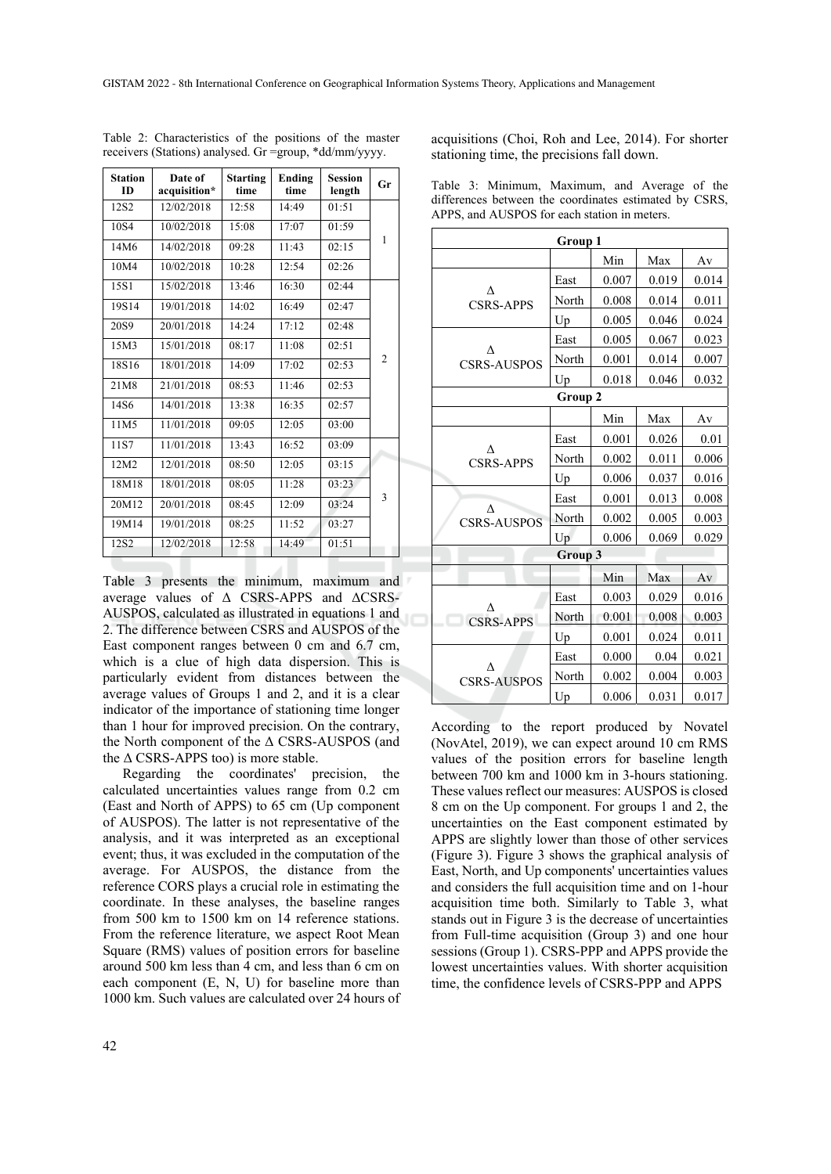| <b>Station</b><br><b>ID</b> | Date of<br>acquisition* | <b>Starting</b><br>time | <b>Ending</b><br>time | <b>Session</b><br>length | Gr             |
|-----------------------------|-------------------------|-------------------------|-----------------------|--------------------------|----------------|
| 12S <sub>2</sub>            | 12/02/2018              | 12:58                   | 14:49                 | 01:51                    |                |
| 10S4                        | 10/02/2018              | 15:08                   | 17:07                 | 01:59                    |                |
| 14M6                        | 14/02/2018              | 09:28                   | 11:43                 | 02:15                    | 1              |
| 10M4                        | 10/02/2018              | 10:28                   | 12:54                 | 02:26                    |                |
| 15S1                        | 15/02/2018              | 13:46                   | 16:30                 | 02:44                    |                |
| 19S14                       | 19/01/2018              | 14:02                   | 16:49                 | 02:47                    |                |
| 20S9                        | 20/01/2018              | 14:24                   | 17:12                 | 02:48                    |                |
| 15M3                        | 15/01/2018              | 08:17                   | 11:08                 | 02:51                    |                |
| 18S16                       | 18/01/2018              | 14:09                   | 17:02                 | 02:53                    | $\overline{2}$ |
| 21M8                        | 21/01/2018              | 08:53                   | 11:46                 | 02:53                    |                |
| 14S6                        | 14/01/2018              | 13:38                   | 16:35                 | 02:57                    |                |
| 11M5                        | 11/01/2018              | 09:05                   | 12:05                 | 03:00                    |                |
| 11S7                        | 11/01/2018              | 13:43                   | 16:52                 | 03:09                    |                |
| 12M2                        | 12/01/2018              | 08:50                   | 12:05                 | 03:15                    |                |
| 18M18                       | 18/01/2018              | 08:05                   | 11:28                 | 03:23                    |                |
| 20M12                       | 20/01/2018              | 08:45                   | 12:09                 | 03:24                    | 3              |
| 19M14                       | 19/01/2018              | 08:25                   | 11:52                 | 03:27                    |                |
| 12S <sub>2</sub>            | 12/02/2018              | 12:58                   | 14:49                 | 01:51                    |                |

Table 2: Characteristics of the positions of the master receivers (Stations) analysed. Gr =group, \*dd/mm/yyyy.

acquisitions (Choi, Roh and Lee, 2014). For shorter stationing time, the precisions fall down.

|  | Table 3: Minimum, Maximum, and Average of the          |  |  |
|--|--------------------------------------------------------|--|--|
|  | differences between the coordinates estimated by CSRS, |  |  |
|  | APPS, and AUSPOS for each station in meters.           |  |  |

| Group 1                 |         |       |       |       |
|-------------------------|---------|-------|-------|-------|
|                         |         | Min   | Max   | Av    |
|                         | East    | 0.007 | 0.019 | 0.014 |
| л<br><b>CSRS-APPS</b>   | North   | 0.008 | 0.014 | 0.011 |
|                         | Up      | 0.005 | 0.046 | 0.024 |
|                         | East    | 0.005 | 0.067 | 0.023 |
| Λ<br><b>CSRS-AUSPOS</b> | North   | 0.001 | 0.014 | 0.007 |
|                         | Up      | 0.018 | 0.046 | 0.032 |
|                         | Group 2 |       |       |       |
|                         |         | Min   | Max   | Av    |
|                         | East    | 0.001 | 0.026 | 0.01  |
| Λ<br><b>CSRS-APPS</b>   | North   | 0.002 | 0.011 | 0.006 |
|                         | Up      | 0.006 | 0.037 | 0.016 |
|                         | East    | 0.001 | 0.013 | 0.008 |
| Λ<br><b>CSRS-AUSPOS</b> | North   | 0.002 | 0.005 | 0.003 |
|                         | Up      | 0.006 | 0.069 | 0.029 |
|                         | Group 3 |       |       |       |
|                         |         | Min   | Max   | Av    |
| <b>CSRS-APPS</b>        | East    | 0.003 | 0.029 | 0.016 |
|                         | North   | 0.001 | 0.008 | 0.003 |
|                         | Up      | 0.001 | 0.024 | 0.011 |
|                         | East    | 0.000 | 0.04  | 0.021 |
| л<br><b>CSRS-AUSPOS</b> | North   | 0.002 | 0.004 | 0.003 |
|                         | Up      | 0.006 | 0.031 | 0.017 |

Table 3 presents the minimum, maximum and average values of Δ CSRS-APPS and ΔCSRS-AUSPOS, calculated as illustrated in equations 1 and 2. The difference between CSRS and AUSPOS of the East component ranges between 0 cm and 6.7 cm, which is a clue of high data dispersion. This is particularly evident from distances between the average values of Groups 1 and 2, and it is a clear indicator of the importance of stationing time longer than 1 hour for improved precision. On the contrary, the North component of the Δ CSRS-AUSPOS (and the  $\triangle$  CSRS-APPS too) is more stable.

Regarding the coordinates' precision, the calculated uncertainties values range from 0.2 cm (East and North of APPS) to 65 cm (Up component of AUSPOS). The latter is not representative of the analysis, and it was interpreted as an exceptional event; thus, it was excluded in the computation of the average. For AUSPOS, the distance from the reference CORS plays a crucial role in estimating the coordinate. In these analyses, the baseline ranges from 500 km to 1500 km on 14 reference stations. From the reference literature, we aspect Root Mean Square (RMS) values of position errors for baseline around 500 km less than 4 cm, and less than 6 cm on each component (E, N, U) for baseline more than 1000 km. Such values are calculated over 24 hours of

According to the report produced by Novatel (NovAtel, 2019), we can expect around 10 cm RMS values of the position errors for baseline length between 700 km and 1000 km in 3-hours stationing. These values reflect our measures: AUSPOS is closed 8 cm on the Up component. For groups 1 and 2, the uncertainties on the East component estimated by APPS are slightly lower than those of other services (Figure 3). Figure 3 shows the graphical analysis of East, North, and Up components' uncertainties values and considers the full acquisition time and on 1-hour acquisition time both. Similarly to Table 3, what stands out in Figure 3 is the decrease of uncertainties from Full-time acquisition (Group 3) and one hour sessions (Group 1). CSRS-PPP and APPS provide the lowest uncertainties values. With shorter acquisition time, the confidence levels of CSRS-PPP and APPS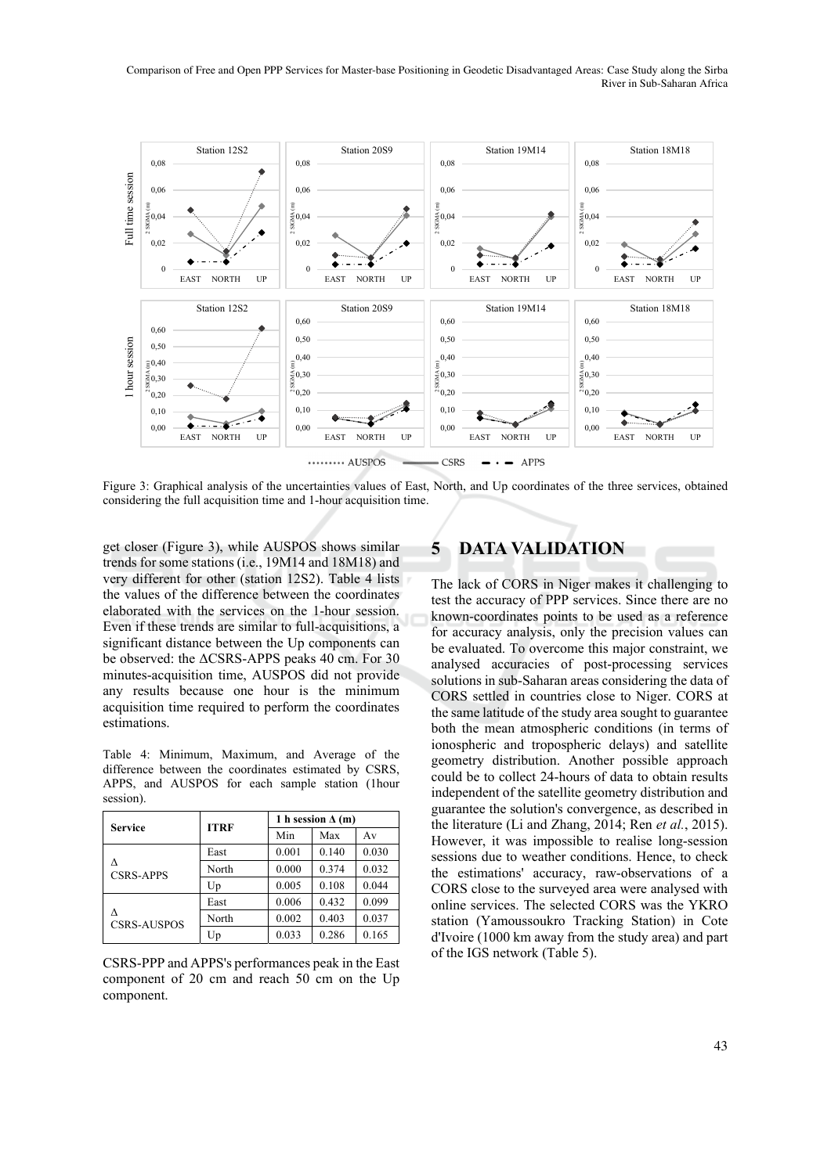Comparison of Free and Open PPP Services for Master-base Positioning in Geodetic Disadvantaged Areas: Case Study along the Sirba River in Sub-Saharan Africa



Figure 3: Graphical analysis of the uncertainties values of East, North, and Up coordinates of the three services, obtained considering the full acquisition time and 1-hour acquisition time.

get closer (Figure 3), while AUSPOS shows similar trends for some stations (i.e., 19M14 and 18M18) and very different for other (station 12S2). Table 4 lists the values of the difference between the coordinates elaborated with the services on the 1-hour session. Even if these trends are similar to full-acquisitions, a significant distance between the Up components can be observed: the ΔCSRS-APPS peaks 40 cm. For 30 minutes-acquisition time, AUSPOS did not provide any results because one hour is the minimum acquisition time required to perform the coordinates estimations.

Table 4: Minimum, Maximum, and Average of the difference between the coordinates estimated by CSRS, APPS, and AUSPOS for each sample station (1hour session).

| <b>Service</b>          | <b>ITRF</b> | 1 h session $\Delta$ (m) |       |       |
|-------------------------|-------------|--------------------------|-------|-------|
|                         |             | Min                      | Max   | Av    |
| л<br><b>CSRS-APPS</b>   | East        | 0.001                    | 0.140 | 0.030 |
|                         | North       | 0.000                    | 0.374 | 0.032 |
|                         | Up          | 0.005                    | 0.108 | 0.044 |
| л<br><b>CSRS-AUSPOS</b> | East        | 0.006                    | 0.432 | 0.099 |
|                         | North       | 0.002                    | 0.403 | 0.037 |
|                         | Up          | 0.033                    | 0.286 | 0.165 |

CSRS-PPP and APPS's performances peak in the East component of 20 cm and reach 50 cm on the Up component.

### **5 DATA VALIDATION**

The lack of CORS in Niger makes it challenging to test the accuracy of PPP services. Since there are no known-coordinates points to be used as a reference for accuracy analysis, only the precision values can be evaluated. To overcome this major constraint, we analysed accuracies of post-processing services solutions in sub-Saharan areas considering the data of CORS settled in countries close to Niger. CORS at the same latitude of the study area sought to guarantee both the mean atmospheric conditions (in terms of ionospheric and tropospheric delays) and satellite geometry distribution. Another possible approach could be to collect 24-hours of data to obtain results independent of the satellite geometry distribution and guarantee the solution's convergence, as described in the literature (Li and Zhang, 2014; Ren *et al.*, 2015). However, it was impossible to realise long-session sessions due to weather conditions. Hence, to check the estimations' accuracy, raw-observations of a CORS close to the surveyed area were analysed with online services. The selected CORS was the YKRO station (Yamoussoukro Tracking Station) in Cote d'Ivoire (1000 km away from the study area) and part of the IGS network (Table 5).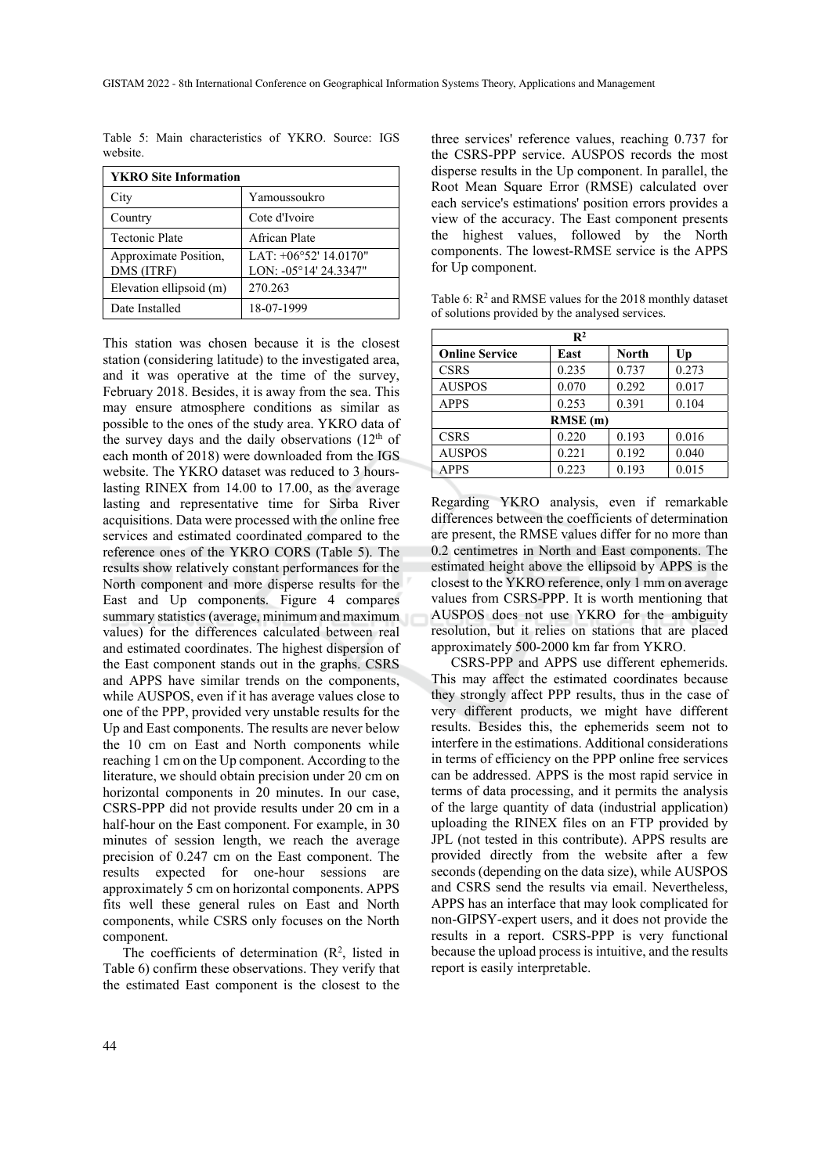| <b>YKRO</b> Site Information        |                                                  |  |  |
|-------------------------------------|--------------------------------------------------|--|--|
| City                                | Yamoussoukro                                     |  |  |
| Country                             | Cote d'Ivoire                                    |  |  |
| <b>Tectonic Plate</b>               | African Plate                                    |  |  |
| Approximate Position,<br>DMS (ITRF) | LAT: $+06°52'$ 14.0170"<br>LON: -05°14' 24.3347" |  |  |
| Elevation ellipsoid (m)             | 270.263                                          |  |  |
| Date Installed                      | 18-07-1999                                       |  |  |

Table 5: Main characteristics of YKRO. Source: IGS website.

This station was chosen because it is the closest station (considering latitude) to the investigated area, and it was operative at the time of the survey, February 2018. Besides, it is away from the sea. This may ensure atmosphere conditions as similar as possible to the ones of the study area. YKRO data of the survey days and the daily observations  $(12<sup>th</sup>$  of each month of 2018) were downloaded from the IGS website. The YKRO dataset was reduced to 3 hourslasting RINEX from 14.00 to 17.00, as the average lasting and representative time for Sirba River acquisitions. Data were processed with the online free services and estimated coordinated compared to the reference ones of the YKRO CORS (Table 5). The results show relatively constant performances for the North component and more disperse results for the East and Up components. Figure 4 compares summary statistics (average, minimum and maximum values) for the differences calculated between real and estimated coordinates. The highest dispersion of the East component stands out in the graphs. CSRS and APPS have similar trends on the components, while AUSPOS, even if it has average values close to one of the PPP, provided very unstable results for the Up and East components. The results are never below the 10 cm on East and North components while reaching 1 cm on the Up component. According to the literature, we should obtain precision under 20 cm on horizontal components in 20 minutes. In our case, CSRS-PPP did not provide results under 20 cm in a half-hour on the East component. For example, in 30 minutes of session length, we reach the average precision of 0.247 cm on the East component. The results expected for one-hour sessions are approximately 5 cm on horizontal components. APPS fits well these general rules on East and North components, while CSRS only focuses on the North component.

The coefficients of determination  $(R^2)$ , listed in Table 6) confirm these observations. They verify that the estimated East component is the closest to the

three services' reference values, reaching 0.737 for the CSRS-PPP service. AUSPOS records the most disperse results in the Up component. In parallel, the Root Mean Square Error (RMSE) calculated over each service's estimations' position errors provides a view of the accuracy. The East component presents the highest values, followed by the North components. The lowest-RMSE service is the APPS for Up component.

Table 6:  $R^2$  and RMSE values for the 2018 monthly dataset of solutions provided by the analysed services.

| $\mathbb{R}^2$        |       |              |       |  |  |
|-----------------------|-------|--------------|-------|--|--|
| <b>Online Service</b> | East  | <b>North</b> | Up    |  |  |
| <b>CSRS</b>           | 0.235 | 0.737        | 0.273 |  |  |
| <b>AUSPOS</b>         | 0.070 | 0.292        | 0.017 |  |  |
| <b>APPS</b>           | 0.253 | 0.391        | 0.104 |  |  |
| RMSE (m)              |       |              |       |  |  |
| <b>CSRS</b>           | 0.220 | 0.193        | 0.016 |  |  |
| <b>AUSPOS</b>         | 0.221 | 0.192        | 0.040 |  |  |
| <b>APPS</b>           | 0.223 | 0.193        | 0.015 |  |  |

Regarding YKRO analysis, even if remarkable differences between the coefficients of determination are present, the RMSE values differ for no more than 0.2 centimetres in North and East components. The estimated height above the ellipsoid by APPS is the closest to the YKRO reference, only 1 mm on average values from CSRS-PPP. It is worth mentioning that AUSPOS does not use YKRO for the ambiguity resolution, but it relies on stations that are placed approximately 500-2000 km far from YKRO.

CSRS-PPP and APPS use different ephemerids. This may affect the estimated coordinates because they strongly affect PPP results, thus in the case of very different products, we might have different results. Besides this, the ephemerids seem not to interfere in the estimations. Additional considerations in terms of efficiency on the PPP online free services can be addressed. APPS is the most rapid service in terms of data processing, and it permits the analysis of the large quantity of data (industrial application) uploading the RINEX files on an FTP provided by JPL (not tested in this contribute). APPS results are provided directly from the website after a few seconds (depending on the data size), while AUSPOS and CSRS send the results via email. Nevertheless, APPS has an interface that may look complicated for non-GIPSY-expert users, and it does not provide the results in a report. CSRS-PPP is very functional because the upload process is intuitive, and the results report is easily interpretable.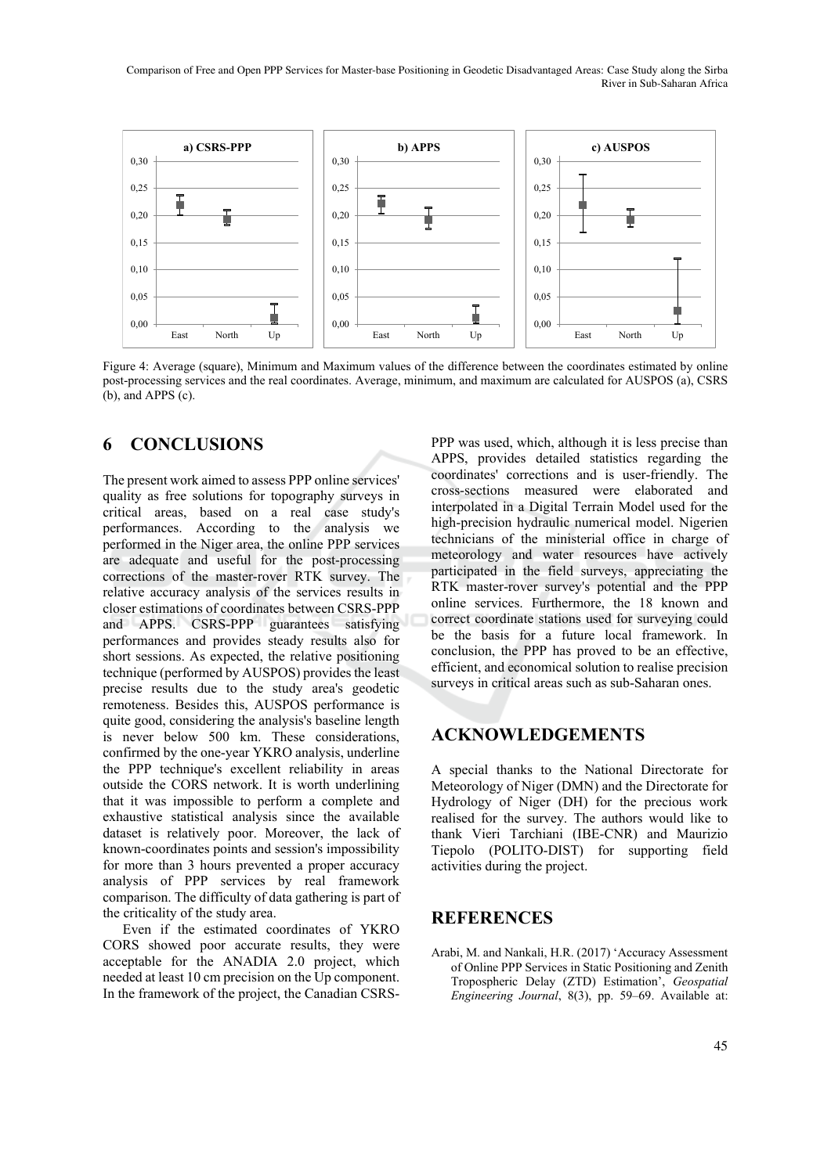Comparison of Free and Open PPP Services for Master-base Positioning in Geodetic Disadvantaged Areas: Case Study along the Sirba River in Sub-Saharan Africa



Figure 4: Average (square), Minimum and Maximum values of the difference between the coordinates estimated by online post-processing services and the real coordinates. Average, minimum, and maximum are calculated for AUSPOS (a), CSRS (b), and APPS (c).

### **6 CONCLUSIONS**

The present work aimed to assess PPP online services' quality as free solutions for topography surveys in critical areas, based on a real case study's performances. According to the analysis we performed in the Niger area, the online PPP services are adequate and useful for the post-processing corrections of the master-rover RTK survey. The relative accuracy analysis of the services results in closer estimations of coordinates between CSRS-PPP and APPS. CSRS-PPP guarantees satisfying performances and provides steady results also for short sessions. As expected, the relative positioning technique (performed by AUSPOS) provides the least precise results due to the study area's geodetic remoteness. Besides this, AUSPOS performance is quite good, considering the analysis's baseline length is never below 500 km. These considerations, confirmed by the one-year YKRO analysis, underline the PPP technique's excellent reliability in areas outside the CORS network. It is worth underlining that it was impossible to perform a complete and exhaustive statistical analysis since the available dataset is relatively poor. Moreover, the lack of known-coordinates points and session's impossibility for more than 3 hours prevented a proper accuracy analysis of PPP services by real framework comparison. The difficulty of data gathering is part of the criticality of the study area.

Even if the estimated coordinates of YKRO CORS showed poor accurate results, they were acceptable for the ANADIA 2.0 project, which needed at least 10 cm precision on the Up component. In the framework of the project, the Canadian CSRS-

PPP was used, which, although it is less precise than APPS, provides detailed statistics regarding the coordinates' corrections and is user-friendly. The cross-sections measured were elaborated and interpolated in a Digital Terrain Model used for the high-precision hydraulic numerical model. Nigerien technicians of the ministerial office in charge of meteorology and water resources have actively participated in the field surveys, appreciating the RTK master-rover survey's potential and the PPP online services. Furthermore, the 18 known and correct coordinate stations used for surveying could be the basis for a future local framework. In conclusion, the PPP has proved to be an effective, efficient, and economical solution to realise precision surveys in critical areas such as sub-Saharan ones.

#### **ACKNOWLEDGEMENTS**

A special thanks to the National Directorate for Meteorology of Niger (DMN) and the Directorate for Hydrology of Niger (DH) for the precious work realised for the survey. The authors would like to thank Vieri Tarchiani (IBE-CNR) and Maurizio Tiepolo (POLITO-DIST) for supporting field activities during the project.

#### **REFERENCES**

Arabi, M. and Nankali, H.R. (2017) 'Accuracy Assessment of Online PPP Services in Static Positioning and Zenith Tropospheric Delay (ZTD) Estimation', *Geospatial Engineering Journal*, 8(3), pp. 59–69. Available at: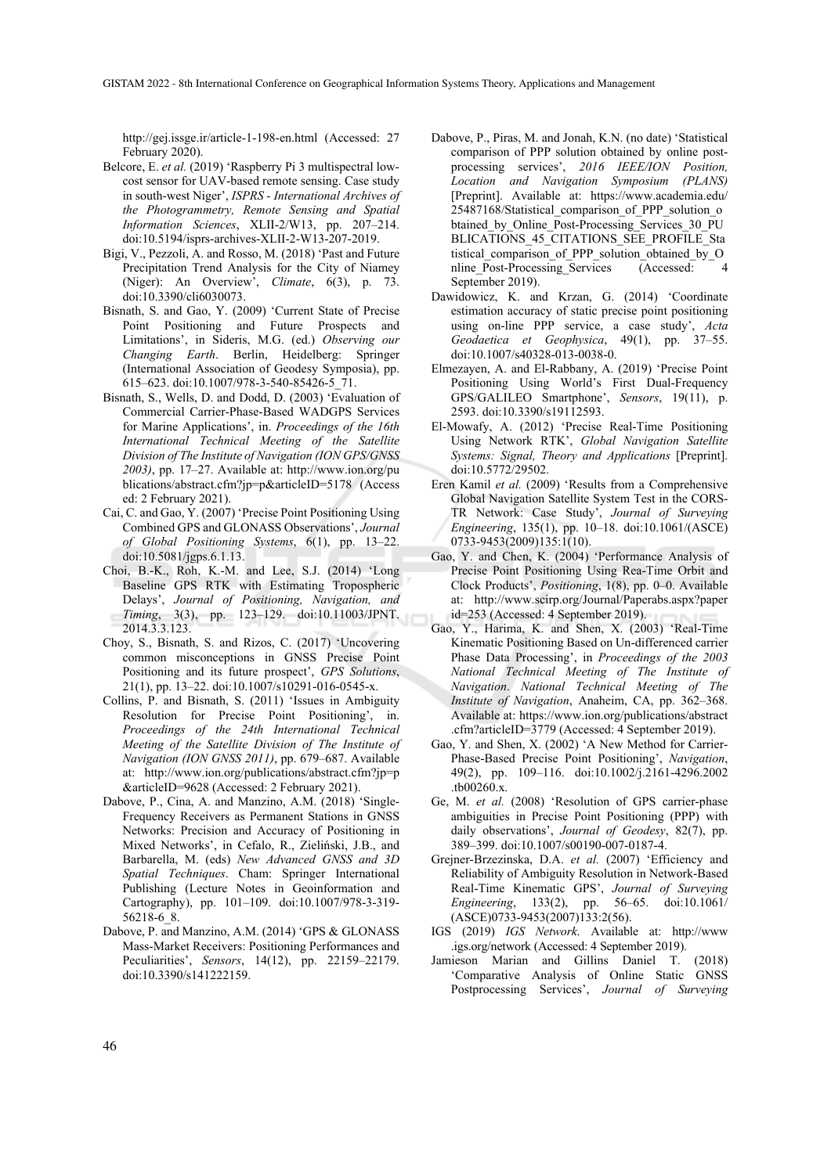GISTAM 2022 - 8th International Conference on Geographical Information Systems Theory, Applications and Management

http://gej.issge.ir/article-1-198-en.html (Accessed: 27 February 2020).

- Belcore, E. *et al.* (2019) 'Raspberry Pi 3 multispectral lowcost sensor for UAV-based remote sensing. Case study in south-west Niger', *ISPRS - International Archives of the Photogrammetry, Remote Sensing and Spatial Information Sciences*, XLII-2/W13, pp. 207–214. doi:10.5194/isprs-archives-XLII-2-W13-207-2019.
- Bigi, V., Pezzoli, A. and Rosso, M. (2018) 'Past and Future Precipitation Trend Analysis for the City of Niamey (Niger): An Overview', *Climate*, 6(3), p. 73. doi:10.3390/cli6030073.
- Bisnath, S. and Gao, Y. (2009) 'Current State of Precise Point Positioning and Future Prospects and Limitations', in Sideris, M.G. (ed.) *Observing our Changing Earth*. Berlin, Heidelberg: Springer (International Association of Geodesy Symposia), pp. 615–623. doi:10.1007/978-3-540-85426-5\_71.
- Bisnath, S., Wells, D. and Dodd, D. (2003) 'Evaluation of Commercial Carrier-Phase-Based WADGPS Services for Marine Applications', in. *Proceedings of the 16th International Technical Meeting of the Satellite Division of The Institute of Navigation (ION GPS/GNSS 2003)*, pp. 17–27. Available at: http://www.ion.org/pu blications/abstract.cfm?jp=p&articleID=5178 (Access ed: 2 February 2021).
- Cai, C. and Gao, Y. (2007) 'Precise Point Positioning Using Combined GPS and GLONASS Observations', *Journal of Global Positioning Systems*, 6(1), pp. 13–22. doi:10.5081/jgps.6.1.13.
- Choi, B.-K., Roh, K.-M. and Lee, S.J. (2014) 'Long Baseline GPS RTK with Estimating Tropospheric Delays', *Journal of Positioning, Navigation, and Timing*, 3(3), pp. 123–129. doi:10.11003/JPNT. 2014.3.3.123.
- Choy, S., Bisnath, S. and Rizos, C. (2017) 'Uncovering common misconceptions in GNSS Precise Point Positioning and its future prospect', *GPS Solutions*, 21(1), pp. 13–22. doi:10.1007/s10291-016-0545-x.
- Collins, P. and Bisnath, S. (2011) 'Issues in Ambiguity Resolution for Precise Point Positioning', in. *Proceedings of the 24th International Technical Meeting of the Satellite Division of The Institute of Navigation (ION GNSS 2011)*, pp. 679–687. Available at: http://www.ion.org/publications/abstract.cfm?jp=p &articleID=9628 (Accessed: 2 February 2021).
- Dabove, P., Cina, A. and Manzino, A.M. (2018) 'Single-Frequency Receivers as Permanent Stations in GNSS Networks: Precision and Accuracy of Positioning in Mixed Networks', in Cefalo, R., Zieliński, J.B., and Barbarella, M. (eds) *New Advanced GNSS and 3D Spatial Techniques*. Cham: Springer International Publishing (Lecture Notes in Geoinformation and Cartography), pp. 101–109. doi:10.1007/978-3-319- 56218-6\_8.
- Dabove, P. and Manzino, A.M. (2014) 'GPS & GLONASS Mass-Market Receivers: Positioning Performances and Peculiarities', *Sensors*, 14(12), pp. 22159–22179. doi:10.3390/s141222159.
- Dabove, P., Piras, M. and Jonah, K.N. (no date) 'Statistical comparison of PPP solution obtained by online postprocessing services', *2016 IEEE/ION Position, Location and Navigation Symposium (PLANS)* [Preprint]. Available at: https://www.academia.edu/ 25487168/Statistical\_comparison\_of\_PPP\_solution\_o btained\_by\_Online\_Post-Processing\_Services\_30\_PU BLICATIONS 45 CITATIONS SEE PROFILE Sta tistical comparison of PPP solution obtained by O nline\_Post-Processing\_Services (Accessed: 4 September 2019).
- Dawidowicz, K. and Krzan, G. (2014) 'Coordinate estimation accuracy of static precise point positioning using on-line PPP service, a case study', *Acta Geodaetica et Geophysica*, 49(1), pp. 37–55. doi:10.1007/s40328-013-0038-0.
- Elmezayen, A. and El-Rabbany, A. (2019) 'Precise Point Positioning Using World's First Dual-Frequency GPS/GALILEO Smartphone', *Sensors*, 19(11), p. 2593. doi:10.3390/s19112593.
- El-Mowafy, A. (2012) 'Precise Real-Time Positioning Using Network RTK', *Global Navigation Satellite Systems: Signal, Theory and Applications* [Preprint]. doi:10.5772/29502.
- Eren Kamil *et al.* (2009) 'Results from a Comprehensive Global Navigation Satellite System Test in the CORS-TR Network: Case Study', *Journal of Surveying Engineering*, 135(1), pp. 10–18. doi:10.1061/(ASCE) 0733-9453(2009)135:1(10).
- Gao, Y. and Chen, K. (2004) 'Performance Analysis of Precise Point Positioning Using Rea-Time Orbit and Clock Products', *Positioning*, 1(8), pp. 0–0. Available at: http://www.scirp.org/Journal/Paperabs.aspx?paper id=253 (Accessed: 4 September 2019).
- Gao, Y., Harima, K. and Shen, X. (2003) 'Real-Time Kinematic Positioning Based on Un-differenced carrier Phase Data Processing', in *Proceedings of the 2003 National Technical Meeting of The Institute of Navigation*. *National Technical Meeting of The Institute of Navigation*, Anaheim, CA, pp. 362–368. Available at: https://www.ion.org/publications/abstract .cfm?articleID=3779 (Accessed: 4 September 2019).
- Gao, Y. and Shen, X. (2002) 'A New Method for Carrier-Phase-Based Precise Point Positioning', *Navigation*, 49(2), pp. 109–116. doi:10.1002/j.2161-4296.2002 .tb00260.x.
- Ge, M. *et al.* (2008) 'Resolution of GPS carrier-phase ambiguities in Precise Point Positioning (PPP) with daily observations', *Journal of Geodesy*, 82(7), pp. 389–399. doi:10.1007/s00190-007-0187-4.
- Grejner-Brzezinska, D.A. *et al.* (2007) 'Efficiency and Reliability of Ambiguity Resolution in Network-Based Real-Time Kinematic GPS', *Journal of Surveying Engineering*, 133(2), pp. 56–65. doi:10.1061/ (ASCE)0733-9453(2007)133:2(56).
- IGS (2019) *IGS Network*. Available at: http://www .igs.org/network (Accessed: 4 September 2019).
- Jamieson Marian and Gillins Daniel T. (2018) 'Comparative Analysis of Online Static GNSS Postprocessing Services', *Journal of Surveying*